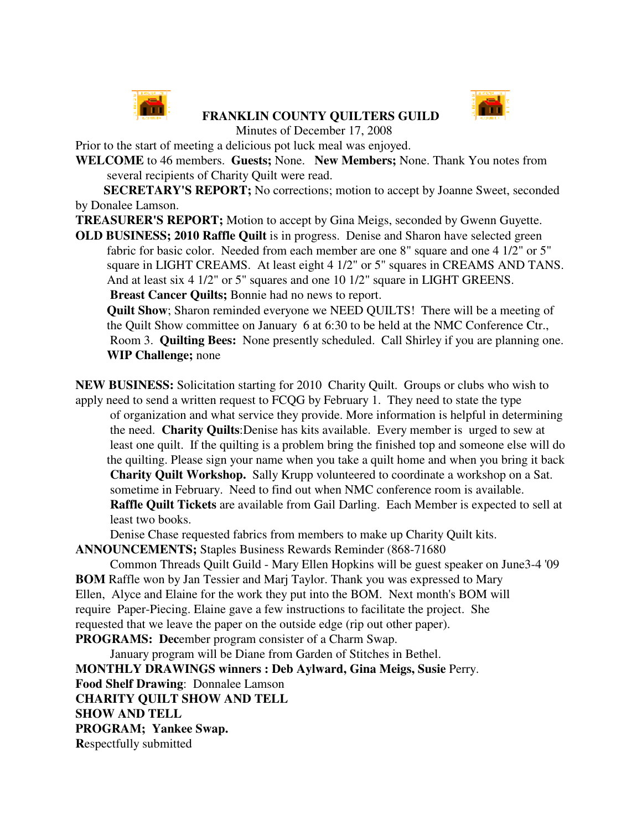

## **FRANKLIN COUNTY QUILTERS GUILD**



Minutes of December 17, 2008

Prior to the start of meeting a delicious pot luck meal was enjoyed.

**WELCOME** to 46 members. **Guests;** None. **New Members;** None. Thank You notes from several recipients of Charity Quilt were read.

**SECRETARY'S REPORT;** No corrections; motion to accept by Joanne Sweet, seconded by Donalee Lamson.

**TREASURER'S REPORT;** Motion to accept by Gina Meigs, seconded by Gwenn Guyette.

**OLD BUSINESS; 2010 Raffle Quilt** is in progress. Denise and Sharon have selected green fabric for basic color. Needed from each member are one 8" square and one 4 1/2" or 5" square in LIGHT CREAMS. At least eight 4 1/2" or 5" squares in CREAMS AND TANS. And at least six 4 1/2" or 5" squares and one 10 1/2" square in LIGHT GREENS. **Breast Cancer Quilts;** Bonnie had no news to report.

**Quilt Show**; Sharon reminded everyone we NEED QUILTS! There will be a meeting of the Quilt Show committee on January 6 at 6:30 to be held at the NMC Conference Ctr., Room 3. **Quilting Bees:** None presently scheduled. Call Shirley if you are planning one. **WIP Challenge;** none

**NEW BUSINESS:** Solicitation starting for 2010 Charity Quilt. Groups or clubs who wish to apply need to send a written request to FCQG by February 1. They need to state the type of organization and what service they provide. More information is helpful in determining the need. **Charity Quilts**:Denise has kits available. Every member is urged to sew at least one quilt. If the quilting is a problem bring the finished top and someone else will do the quilting. Please sign your name when you take a quilt home and when you bring it back **Charity Quilt Workshop.** Sally Krupp volunteered to coordinate a workshop on a Sat. sometime in February. Need to find out when NMC conference room is available. **Raffle Quilt Tickets** are available from Gail Darling. Each Member is expected to sell at least two books.

Denise Chase requested fabrics from members to make up Charity Quilt kits.

**ANNOUNCEMENTS;** Staples Business Rewards Reminder (868-71680

Common Threads Quilt Guild - Mary Ellen Hopkins will be guest speaker on June3-4 '09 **BOM** Raffle won by Jan Tessier and Marj Taylor. Thank you was expressed to Mary Ellen, Alyce and Elaine for the work they put into the BOM. Next month's BOM will require Paper-Piecing. Elaine gave a few instructions to facilitate the project. She requested that we leave the paper on the outside edge (rip out other paper). **PROGRAMS: Dec**ember program consister of a Charm Swap.

January program will be Diane from Garden of Stitches in Bethel. **MONTHLY DRAWINGS winners : Deb Aylward, Gina Meigs, Susie** Perry. **Food Shelf Drawing**: Donnalee Lamson **CHARITY QUILT SHOW AND TELL SHOW AND TELL PROGRAM; Yankee Swap. R**espectfully submitted